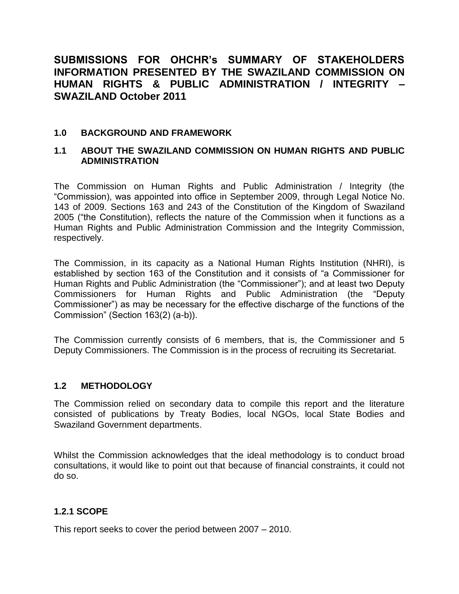# **SUBMISSIONS FOR OHCHR's SUMMARY OF STAKEHOLDERS INFORMATION PRESENTED BY THE SWAZILAND COMMISSION ON HUMAN RIGHTS & PUBLIC ADMINISTRATION / INTEGRITY – SWAZILAND October 2011**

### **1.0 BACKGROUND AND FRAMEWORK**

### **1.1 ABOUT THE SWAZILAND COMMISSION ON HUMAN RIGHTS AND PUBLIC ADMINISTRATION**

The Commission on Human Rights and Public Administration / Integrity (the "Commission), was appointed into office in September 2009, through Legal Notice No. 143 of 2009. Sections 163 and 243 of the Constitution of the Kingdom of Swaziland 2005 ("the Constitution), reflects the nature of the Commission when it functions as a Human Rights and Public Administration Commission and the Integrity Commission, respectively.

The Commission, in its capacity as a National Human Rights Institution (NHRI), is established by section 163 of the Constitution and it consists of "a Commissioner for Human Rights and Public Administration (the "Commissioner"); and at least two Deputy Commissioners for Human Rights and Public Administration (the "Deputy Commissioner") as may be necessary for the effective discharge of the functions of the Commission" (Section 163(2) (a-b)).

The Commission currently consists of 6 members, that is, the Commissioner and 5 Deputy Commissioners. The Commission is in the process of recruiting its Secretariat.

### **1.2 METHODOLOGY**

The Commission relied on secondary data to compile this report and the literature consisted of publications by Treaty Bodies, local NGOs, local State Bodies and Swaziland Government departments.

Whilst the Commission acknowledges that the ideal methodology is to conduct broad consultations, it would like to point out that because of financial constraints, it could not do so.

### **1.2.1 SCOPE**

This report seeks to cover the period between 2007 – 2010.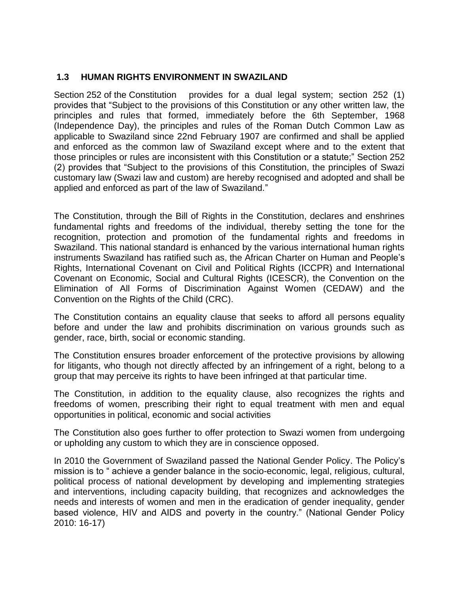### **1.3 HUMAN RIGHTS ENVIRONMENT IN SWAZILAND**

Section 252 of the Constitution provides for a dual legal system; section 252 (1) provides that "Subject to the provisions of this Constitution or any other written law, the principles and rules that formed, immediately before the 6th September, 1968 (Independence Day), the principles and rules of the Roman Dutch Common Law as applicable to Swaziland since 22nd February 1907 are confirmed and shall be applied and enforced as the common law of Swaziland except where and to the extent that those principles or rules are inconsistent with this Constitution or a statute;" Section 252 (2) provides that "Subject to the provisions of this Constitution, the principles of Swazi customary law (Swazi law and custom) are hereby recognised and adopted and shall be applied and enforced as part of the law of Swaziland."

The Constitution, through the Bill of Rights in the Constitution, declares and enshrines fundamental rights and freedoms of the individual, thereby setting the tone for the recognition, protection and promotion of the fundamental rights and freedoms in Swaziland. This national standard is enhanced by the various international human rights instruments Swaziland has ratified such as, the African Charter on Human and People's Rights, International Covenant on Civil and Political Rights (ICCPR) and International Covenant on Economic, Social and Cultural Rights (ICESCR), the Convention on the Elimination of All Forms of Discrimination Against Women (CEDAW) and the Convention on the Rights of the Child (CRC).

The Constitution contains an equality clause that seeks to afford all persons equality before and under the law and prohibits discrimination on various grounds such as gender, race, birth, social or economic standing.

The Constitution ensures broader enforcement of the protective provisions by allowing for litigants, who though not directly affected by an infringement of a right, belong to a group that may perceive its rights to have been infringed at that particular time.

The Constitution, in addition to the equality clause, also recognizes the rights and freedoms of women, prescribing their right to equal treatment with men and equal opportunities in political, economic and social activities

The Constitution also goes further to offer protection to Swazi women from undergoing or upholding any custom to which they are in conscience opposed.

In 2010 the Government of Swaziland passed the National Gender Policy. The Policy's mission is to " achieve a gender balance in the socio-economic, legal, religious, cultural, political process of national development by developing and implementing strategies and interventions, including capacity building, that recognizes and acknowledges the needs and interests of women and men in the eradication of gender inequality, gender based violence, HIV and AIDS and poverty in the country." (National Gender Policy 2010: 16-17)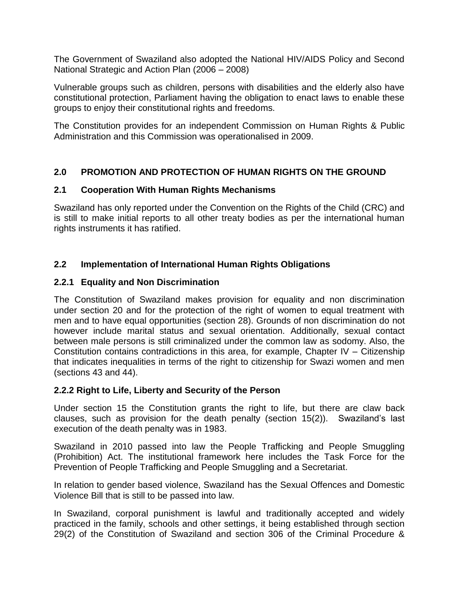The Government of Swaziland also adopted the National HIV/AIDS Policy and Second National Strategic and Action Plan (2006 – 2008)

Vulnerable groups such as children, persons with disabilities and the elderly also have constitutional protection, Parliament having the obligation to enact laws to enable these groups to enjoy their constitutional rights and freedoms.

The Constitution provides for an independent Commission on Human Rights & Public Administration and this Commission was operationalised in 2009.

# **2.0 PROMOTION AND PROTECTION OF HUMAN RIGHTS ON THE GROUND**

### **2.1 Cooperation With Human Rights Mechanisms**

Swaziland has only reported under the Convention on the Rights of the Child (CRC) and is still to make initial reports to all other treaty bodies as per the international human rights instruments it has ratified.

### **2.2 Implementation of International Human Rights Obligations**

### **2.2.1 Equality and Non Discrimination**

The Constitution of Swaziland makes provision for equality and non discrimination under section 20 and for the protection of the right of women to equal treatment with men and to have equal opportunities (section 28). Grounds of non discrimination do not however include marital status and sexual orientation. Additionally, sexual contact between male persons is still criminalized under the common law as sodomy. Also, the Constitution contains contradictions in this area, for example, Chapter IV – Citizenship that indicates inequalities in terms of the right to citizenship for Swazi women and men (sections 43 and 44).

### **2.2.2 Right to Life, Liberty and Security of the Person**

Under section 15 the Constitution grants the right to life, but there are claw back clauses, such as provision for the death penalty (section 15(2)). Swaziland's last execution of the death penalty was in 1983.

Swaziland in 2010 passed into law the People Trafficking and People Smuggling (Prohibition) Act. The institutional framework here includes the Task Force for the Prevention of People Trafficking and People Smuggling and a Secretariat.

In relation to gender based violence, Swaziland has the Sexual Offences and Domestic Violence Bill that is still to be passed into law.

In Swaziland, corporal punishment is lawful and traditionally accepted and widely practiced in the family, schools and other settings, it being established through section 29(2) of the Constitution of Swaziland and section 306 of the Criminal Procedure &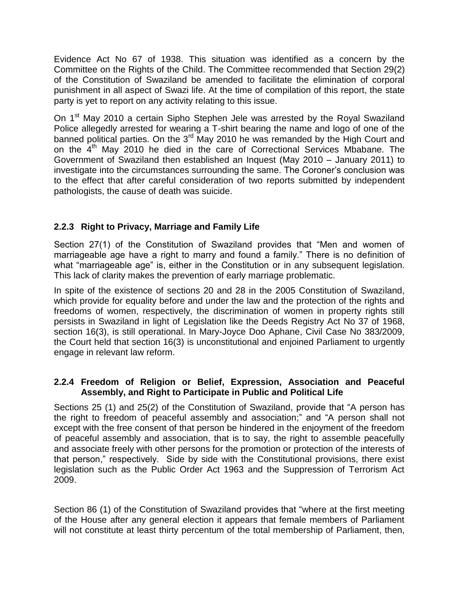Evidence Act No 67 of 1938. This situation was identified as a concern by the Committee on the Rights of the Child. The Committee recommended that Section 29(2) of the Constitution of Swaziland be amended to facilitate the elimination of corporal punishment in all aspect of Swazi life. At the time of compilation of this report, the state party is yet to report on any activity relating to this issue.

On 1<sup>st</sup> May 2010 a certain Sipho Stephen Jele was arrested by the Royal Swaziland Police allegedly arrested for wearing a T-shirt bearing the name and logo of one of the banned political parties. On the 3<sup>rd</sup> May 2010 he was remanded by the High Court and on the 4<sup>th</sup> May 2010 he died in the care of Correctional Services Mbabane. The Government of Swaziland then established an Inquest (May 2010 – January 2011) to investigate into the circumstances surrounding the same. The Coroner's conclusion was to the effect that after careful consideration of two reports submitted by independent pathologists, the cause of death was suicide.

# **2.2.3 Right to Privacy, Marriage and Family Life**

Section 27(1) of the Constitution of Swaziland provides that "Men and women of marriageable age have a right to marry and found a family." There is no definition of what "marriageable age" is, either in the Constitution or in any subsequent legislation. This lack of clarity makes the prevention of early marriage problematic.

In spite of the existence of sections 20 and 28 in the 2005 Constitution of Swaziland, which provide for equality before and under the law and the protection of the rights and freedoms of women, respectively, the discrimination of women in property rights still persists in Swaziland in light of Legislation like the Deeds Registry Act No 37 of 1968, section 16(3), is still operational. In Mary-Joyce Doo Aphane, Civil Case No 383/2009, the Court held that section 16(3) is unconstitutional and enjoined Parliament to urgently engage in relevant law reform.

### **2.2.4 Freedom of Religion or Belief, Expression, Association and Peaceful Assembly, and Right to Participate in Public and Political Life**

Sections 25 (1) and 25(2) of the Constitution of Swaziland, provide that "A person has the right to freedom of peaceful assembly and association;" and "A person shall not except with the free consent of that person be hindered in the enjoyment of the freedom of peaceful assembly and association, that is to say, the right to assemble peacefully and associate freely with other persons for the promotion or protection of the interests of that person," respectively. Side by side with the Constitutional provisions, there exist legislation such as the Public Order Act 1963 and the Suppression of Terrorism Act 2009.

Section 86 (1) of the Constitution of Swaziland provides that "where at the first meeting of the House after any general election it appears that female members of Parliament will not constitute at least thirty percentum of the total membership of Parliament, then,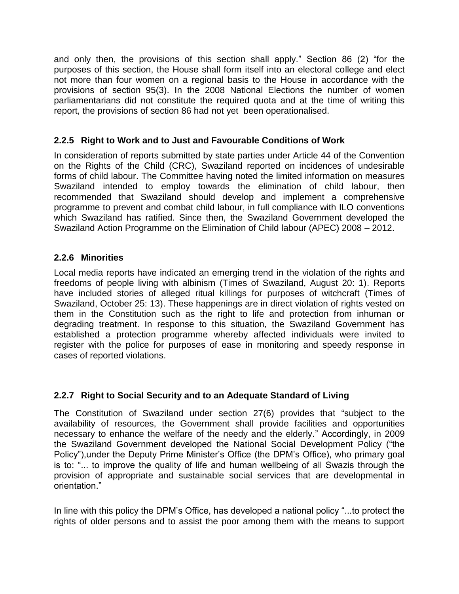and only then, the provisions of this section shall apply." Section 86 (2) "for the purposes of this section, the House shall form itself into an electoral college and elect not more than four women on a regional basis to the House in accordance with the provisions of section 95(3). In the 2008 National Elections the number of women parliamentarians did not constitute the required quota and at the time of writing this report, the provisions of section 86 had not yet been operationalised.

### **2.2.5 Right to Work and to Just and Favourable Conditions of Work**

In consideration of reports submitted by state parties under Article 44 of the Convention on the Rights of the Child (CRC), Swaziland reported on incidences of undesirable forms of child labour. The Committee having noted the limited information on measures Swaziland intended to employ towards the elimination of child labour, then recommended that Swaziland should develop and implement a comprehensive programme to prevent and combat child labour, in full compliance with ILO conventions which Swaziland has ratified. Since then, the Swaziland Government developed the Swaziland Action Programme on the Elimination of Child labour (APEC) 2008 – 2012.

### **2.2.6 Minorities**

Local media reports have indicated an emerging trend in the violation of the rights and freedoms of people living with albinism (Times of Swaziland, August 20: 1). Reports have included stories of alleged ritual killings for purposes of witchcraft (Times of Swaziland, October 25: 13). These happenings are in direct violation of rights vested on them in the Constitution such as the right to life and protection from inhuman or degrading treatment. In response to this situation, the Swaziland Government has established a protection programme whereby affected individuals were invited to register with the police for purposes of ease in monitoring and speedy response in cases of reported violations.

### **2.2.7 Right to Social Security and to an Adequate Standard of Living**

The Constitution of Swaziland under section 27(6) provides that "subject to the availability of resources, the Government shall provide facilities and opportunities necessary to enhance the welfare of the needy and the elderly." Accordingly, in 2009 the Swaziland Government developed the National Social Development Policy ("the Policy"),under the Deputy Prime Minister's Office (the DPM's Office), who primary goal is to: "... to improve the quality of life and human wellbeing of all Swazis through the provision of appropriate and sustainable social services that are developmental in orientation."

In line with this policy the DPM's Office, has developed a national policy "...to protect the rights of older persons and to assist the poor among them with the means to support